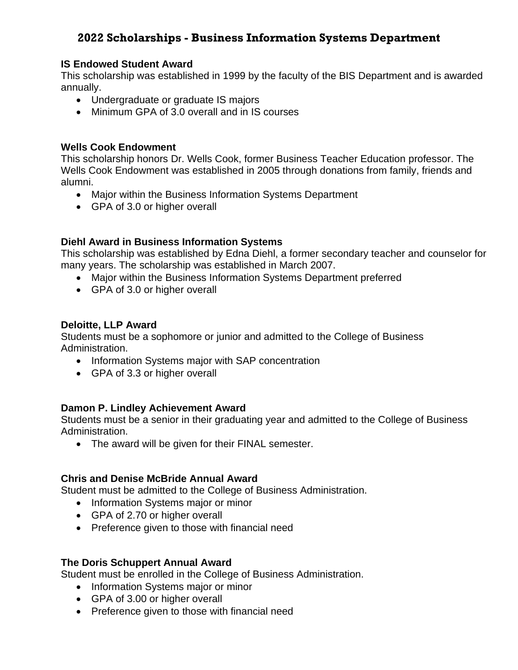# **2022 Scholarships - Business Information Systems Department**

## **IS Endowed Student Award**

This scholarship was established in 1999 by the faculty of the BIS Department and is awarded annually.

- Undergraduate or graduate IS majors
- Minimum GPA of 3.0 overall and in IS courses

### **Wells Cook Endowment**

This scholarship honors Dr. Wells Cook, former Business Teacher Education professor. The Wells Cook Endowment was established in 2005 through donations from family, friends and alumni.

- Major within the Business Information Systems Department
- GPA of 3.0 or higher overall

## **Diehl Award in Business Information Systems**

This scholarship was established by Edna Diehl, a former secondary teacher and counselor for many years. The scholarship was established in March 2007.

- Major within the Business Information Systems Department preferred
- GPA of 3.0 or higher overall

#### **Deloitte, LLP Award**

Students must be a sophomore or junior and admitted to the College of Business Administration.

- Information Systems major with SAP concentration
- GPA of 3.3 or higher overall

## **Damon P. Lindley Achievement Award**

Students must be a senior in their graduating year and admitted to the College of Business Administration.

• The award will be given for their FINAL semester.

## **Chris and Denise McBride Annual Award**

Student must be admitted to the College of Business Administration.

- Information Systems major or minor
- GPA of 2.70 or higher overall
- Preference given to those with financial need

#### **The Doris Schuppert Annual Award**

Student must be enrolled in the College of Business Administration.

- Information Systems major or minor
- GPA of 3.00 or higher overall
- Preference given to those with financial need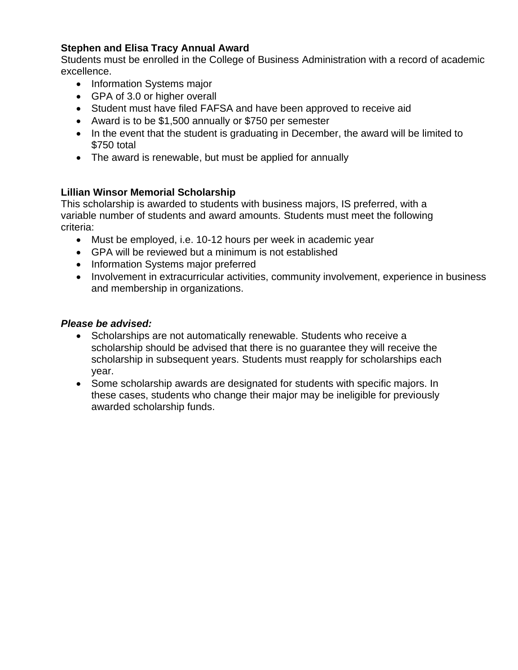## **Stephen and Elisa Tracy Annual Award**

Students must be enrolled in the College of Business Administration with a record of academic excellence.

- Information Systems major
- GPA of 3.0 or higher overall
- Student must have filed FAFSA and have been approved to receive aid
- Award is to be \$1,500 annually or \$750 per semester
- In the event that the student is graduating in December, the award will be limited to \$750 total
- The award is renewable, but must be applied for annually

## **Lillian Winsor Memorial Scholarship**

This scholarship is awarded to students with business majors, IS preferred, with a variable number of students and award amounts. Students must meet the following criteria:

- Must be employed, i.e. 10-12 hours per week in academic year
- GPA will be reviewed but a minimum is not established
- Information Systems major preferred
- Involvement in extracurricular activities, community involvement, experience in business and membership in organizations.

## *Please be advised:*

- Scholarships are not automatically renewable. Students who receive a scholarship should be advised that there is no guarantee they will receive the scholarship in subsequent years. Students must reapply for scholarships each year.
- Some scholarship awards are designated for students with specific majors. In these cases, students who change their major may be ineligible for previously awarded scholarship funds.